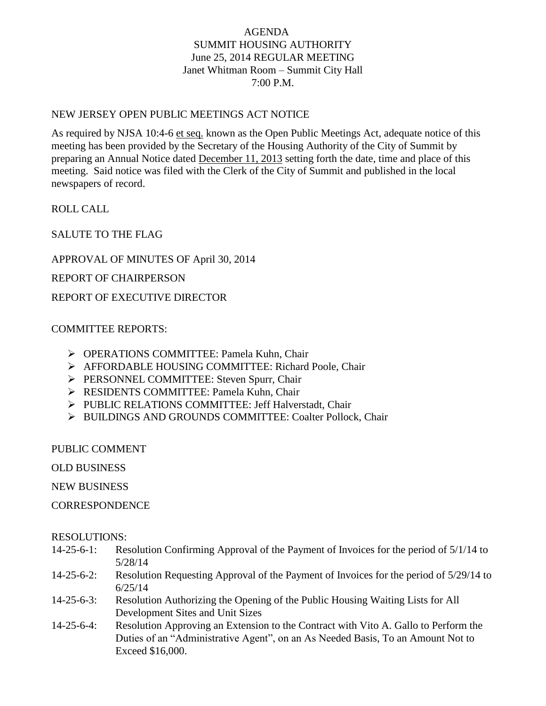# AGENDA SUMMIT HOUSING AUTHORITY June 25, 2014 REGULAR MEETING Janet Whitman Room – Summit City Hall 7:00 P.M.

## NEW JERSEY OPEN PUBLIC MEETINGS ACT NOTICE

As required by NJSA 10:4-6 et seq. known as the Open Public Meetings Act, adequate notice of this meeting has been provided by the Secretary of the Housing Authority of the City of Summit by preparing an Annual Notice dated December 11, 2013 setting forth the date, time and place of this meeting. Said notice was filed with the Clerk of the City of Summit and published in the local newspapers of record.

ROLL CALL

SALUTE TO THE FLAG

APPROVAL OF MINUTES OF April 30, 2014

REPORT OF CHAIRPERSON

REPORT OF EXECUTIVE DIRECTOR

## COMMITTEE REPORTS:

- OPERATIONS COMMITTEE: Pamela Kuhn, Chair
- AFFORDABLE HOUSING COMMITTEE: Richard Poole, Chair
- PERSONNEL COMMITTEE: Steven Spurr, Chair
- **EXECUTE: Pamela Kuhn, Chair** COMMITTEE: Pamela Kuhn, Chair
- PUBLIC RELATIONS COMMITTEE: Jeff Halverstadt, Chair
- > BUILDINGS AND GROUNDS COMMITTEE: Coalter Pollock, Chair

PUBLIC COMMENT

OLD BUSINESS

NEW BUSINESS

**CORRESPONDENCE** 

### RESOLUTIONS:

- 14-25-6-1: Resolution Confirming Approval of the Payment of Invoices for the period of 5/1/14 to 5/28/14
- 14-25-6-2: Resolution Requesting Approval of the Payment of Invoices for the period of 5/29/14 to 6/25/14
- 14-25-6-3: Resolution Authorizing the Opening of the Public Housing Waiting Lists for All Development Sites and Unit Sizes
- 14-25-6-4: Resolution Approving an Extension to the Contract with Vito A. Gallo to Perform the Duties of an "Administrative Agent", on an As Needed Basis, To an Amount Not to Exceed \$16,000.